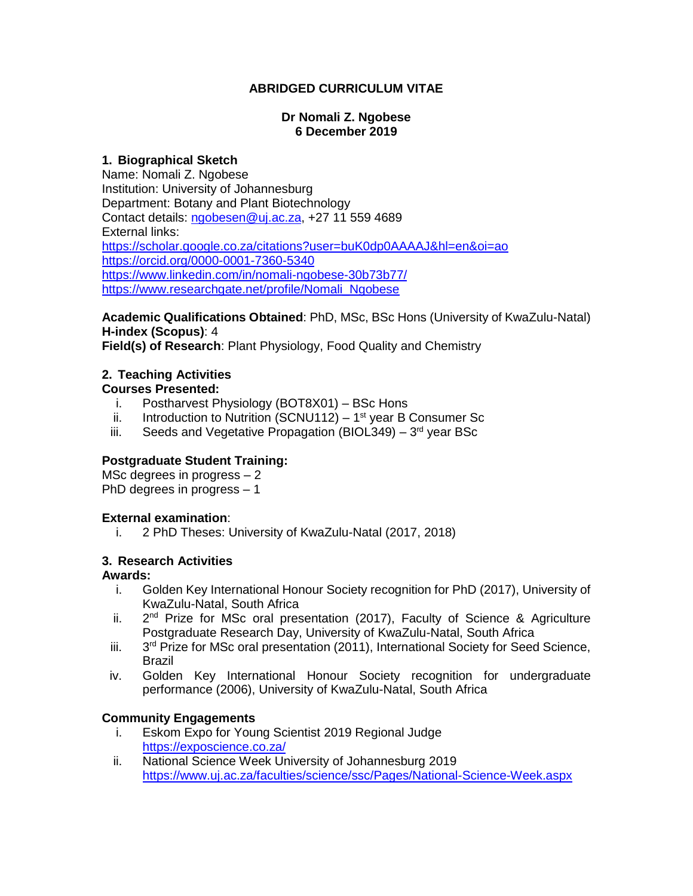## **ABRIDGED CURRICULUM VITAE**

#### **Dr Nomali Z. Ngobese 6 December 2019**

## **1. Biographical Sketch**

Name: Nomali Z. Ngobese Institution: University of Johannesburg Department: Botany and Plant Biotechnology Contact details: [ngobesen@uj.ac.za,](mailto:ngobesen@uj.ac.za) +27 11 559 4689 External links: <https://scholar.google.co.za/citations?user=buK0dp0AAAAJ&hl=en&oi=ao> <https://orcid.org/0000-0001-7360-5340> <https://www.linkedin.com/in/nomali-ngobese-30b73b77/> [https://www.researchgate.net/profile/Nomali\\_Ngobese](https://www.researchgate.net/profile/Nomali_Ngobese)

**Academic Qualifications Obtained**: PhD, MSc, BSc Hons (University of KwaZulu-Natal) **H-index (Scopus)**: 4

**Field(s) of Research**: Plant Physiology, Food Quality and Chemistry

## **2. Teaching Activities**

## **Courses Presented:**

- i. Postharvest Physiology (BOT8X01) BSc Hons
- ii. Introduction to Nutrition (SCNU112)  $-1<sup>st</sup>$  year B Consumer Sc
- iii. Seeds and Vegetative Propagation (BIOL349)  $-3<sup>rd</sup>$  year BSc

## **Postgraduate Student Training:**

MSc degrees in progress – 2 PhD degrees in progress – 1

## **External examination**:

i. 2 PhD Theses: University of KwaZulu-Natal (2017, 2018)

## **3. Research Activities**

#### **Awards:**

- i. Golden Key International Honour Society recognition for PhD (2017), University of KwaZulu-Natal, South Africa
- ii. 2  $2<sup>nd</sup>$  Prize for MSc oral presentation (2017), Faculty of Science & Agriculture Postgraduate Research Day, University of KwaZulu-Natal, South Africa
- iii.  $3<sup>rd</sup>$  Prize for MSc oral presentation (2011), International Society for Seed Science, Brazil
- iv. Golden Key International Honour Society recognition for undergraduate performance (2006), University of KwaZulu-Natal, South Africa

## **Community Engagements**

- i. Eskom Expo for Young Scientist 2019 Regional Judge <https://exposcience.co.za/>
- ii. National Science Week University of Johannesburg 2019 <https://www.uj.ac.za/faculties/science/ssc/Pages/National-Science-Week.aspx>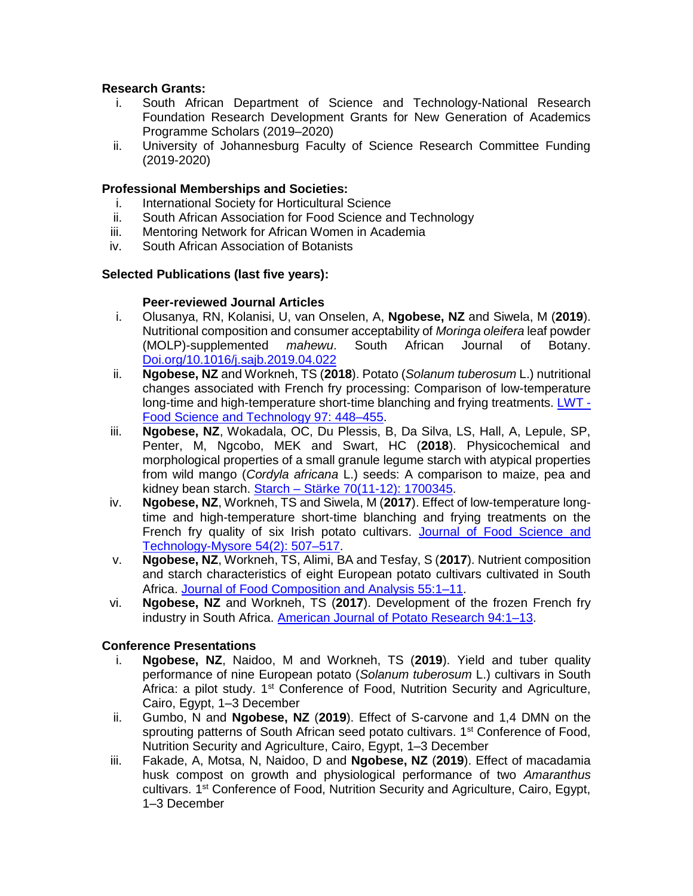## **Research Grants:**

- i. South African Department of Science and Technology-National Research Foundation Research Development Grants for New Generation of Academics Programme Scholars (2019–2020)
- ii. University of Johannesburg Faculty of Science Research Committee Funding (2019-2020)

## **Professional Memberships and Societies:**

- i. International Society for Horticultural Science
- ii. South African Association for Food Science and Technology
- iii. Mentoring Network for African Women in Academia
- iv. South African Association of Botanists

## **Selected Publications (last five years):**

## **Peer-reviewed Journal Articles**

- i. Olusanya, RN, Kolanisi, U, van Onselen, A, **Ngobese, NZ** and Siwela, M (**2019**). Nutritional composition and consumer acceptability of *Moringa oleifera* leaf powder (MOLP)-supplemented *mahewu*. South African Journal of Botany. [Doi.org/10.1016/j.sajb.2019.04.022](https://www.sciencedirect.com/science/article/pii/S0254629918321094)
- ii. **Ngobese, NZ** and Workneh, TS (**2018**). Potato (*Solanum tuberosum* L.) nutritional changes associated with French fry processing: Comparison of low-temperature long-time and high-temperature short-time blanching and frying treatments. [LWT -](https://link.springer.com/article/10.1007/s13197-017-2495-x) [Food Science and Technology 97: 448–455.](https://link.springer.com/article/10.1007/s13197-017-2495-x)
- iii. **Ngobese, NZ**, Wokadala, OC, Du Plessis, B, Da Silva, LS, Hall, A, Lepule, SP, Penter, M, Ngcobo, MEK and Swart, HC (**2018**). Physicochemical and morphological properties of a small granule legume starch with atypical properties from wild mango (*Cordyla africana* L.) seeds: A comparison to maize, pea and kidney bean starch. Starch – [Stärke 70\(11-12\): 1700345.](https://onlinelibrary.wiley.com/doi/abs/10.1002/star.201700345)
- iv. **Ngobese, NZ**, Workneh, TS and Siwela, M (**2017**). Effect of low-temperature longtime and high-temperature short-time blanching and frying treatments on the French fry quality of six Irish potato cultivars. [Journal of Food Science and](https://link.springer.com/article/10.1007/s13197-017-2495-x)  [Technology-Mysore 54\(2\): 507–517.](https://link.springer.com/article/10.1007/s13197-017-2495-x)
- v. **Ngobese, NZ**, Workneh, TS, Alimi, BA and Tesfay, S (**2017**). Nutrient composition and starch characteristics of eight European potato cultivars cultivated in South Africa. [Journal of Food Composition and Analysis 55:1–11.](https://www.sciencedirect.com/science/article/pii/S0889157516301922)
- vi. **Ngobese, NZ** and Workneh, TS (**2017**). Development of the frozen French fry industry in South Africa. [American Journal of Potato Research 94:1–13.](https://link.springer.com/article/10.1007/s12230-016-9548-y)

# **Conference Presentations**

- i. **Ngobese, NZ**, Naidoo, M and Workneh, TS (**2019**). Yield and tuber quality performance of nine European potato (*Solanum tuberosum* L.) cultivars in South Africa: a pilot study.  $1<sup>st</sup>$  Conference of Food, Nutrition Security and Agriculture, Cairo, Egypt, 1–3 December
- ii. Gumbo, N and **Ngobese, NZ** (**2019**). Effect of S-carvone and 1,4 DMN on the sprouting patterns of South African seed potato cultivars. 1<sup>st</sup> Conference of Food, Nutrition Security and Agriculture, Cairo, Egypt, 1–3 December
- iii. Fakade, A, Motsa, N, Naidoo, D and **Ngobese, NZ** (**2019**). Effect of macadamia husk compost on growth and physiological performance of two *Amaranthus* cultivars. 1st Conference of Food, Nutrition Security and Agriculture, Cairo, Egypt, 1–3 December